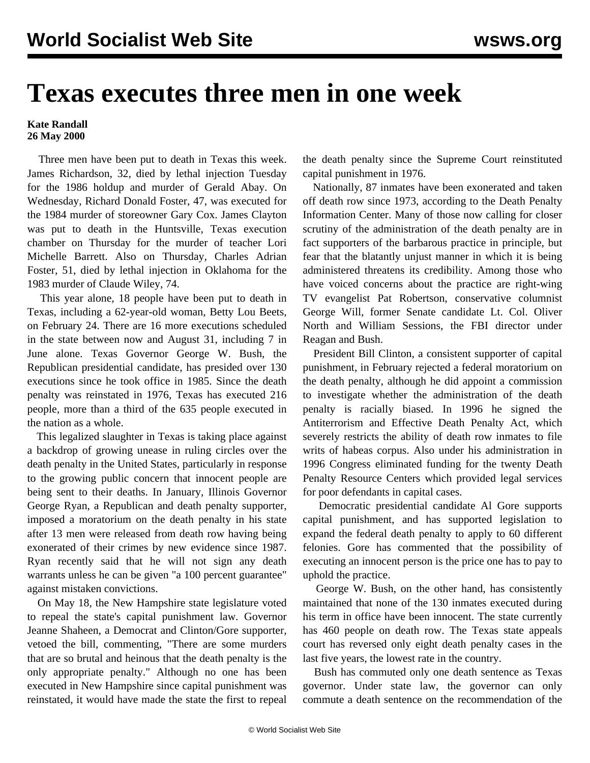## **Texas executes three men in one week**

## **Kate Randall 26 May 2000**

 Three men have been put to death in Texas this week. James Richardson, 32, died by lethal injection Tuesday for the 1986 holdup and murder of Gerald Abay. On Wednesday, Richard Donald Foster, 47, was executed for the 1984 murder of storeowner Gary Cox. James Clayton was put to death in the Huntsville, Texas execution chamber on Thursday for the murder of teacher Lori Michelle Barrett. Also on Thursday, Charles Adrian Foster, 51, died by lethal injection in Oklahoma for the 1983 murder of Claude Wiley, 74.

 This year alone, 18 people have been put to death in Texas, including a 62-year-old woman, Betty Lou Beets, on February 24. There are 16 more executions scheduled in the state between now and August 31, including 7 in June alone. Texas Governor George W. Bush, the Republican presidential candidate, has presided over 130 executions since he took office in 1985. Since the death penalty was reinstated in 1976, Texas has executed 216 people, more than a third of the 635 people executed in the nation as a whole.

 This legalized slaughter in Texas is taking place against a backdrop of growing unease in ruling circles over the death penalty in the United States, particularly in response to the growing public concern that innocent people are being sent to their deaths. In January, Illinois Governor George Ryan, a Republican and death penalty supporter, imposed a moratorium on the death penalty in his state after 13 men were released from death row having being exonerated of their crimes by new evidence since 1987. Ryan recently said that he will not sign any death warrants unless he can be given "a 100 percent guarantee" against mistaken convictions.

 On May 18, the New Hampshire state legislature voted to repeal the state's capital punishment law. Governor Jeanne Shaheen, a Democrat and Clinton/Gore supporter, vetoed the bill, commenting, "There are some murders that are so brutal and heinous that the death penalty is the only appropriate penalty." Although no one has been executed in New Hampshire since capital punishment was reinstated, it would have made the state the first to repeal

the death penalty since the Supreme Court reinstituted capital punishment in 1976.

 Nationally, 87 inmates have been exonerated and taken off death row since 1973, according to the Death Penalty Information Center. Many of those now calling for closer scrutiny of the administration of the death penalty are in fact supporters of the barbarous practice in principle, but fear that the blatantly unjust manner in which it is being administered threatens its credibility. Among those who have voiced concerns about the practice are right-wing TV evangelist Pat Robertson, conservative columnist George Will, former Senate candidate Lt. Col. Oliver North and William Sessions, the FBI director under Reagan and Bush.

 President Bill Clinton, a consistent supporter of capital punishment, in February rejected a federal moratorium on the death penalty, although he did appoint a commission to investigate whether the administration of the death penalty is racially biased. In 1996 he signed the Antiterrorism and Effective Death Penalty Act, which severely restricts the ability of death row inmates to file writs of habeas corpus. Also under his administration in 1996 Congress eliminated funding for the twenty Death Penalty Resource Centers which provided legal services for poor defendants in capital cases.

 Democratic presidential candidate Al Gore supports capital punishment, and has supported legislation to expand the federal death penalty to apply to 60 different felonies. Gore has commented that the possibility of executing an innocent person is the price one has to pay to uphold the practice.

 George W. Bush, on the other hand, has consistently maintained that none of the 130 inmates executed during his term in office have been innocent. The state currently has 460 people on death row. The Texas state appeals court has reversed only eight death penalty cases in the last five years, the lowest rate in the country.

 Bush has commuted only one death sentence as Texas governor. Under state law, the governor can only commute a death sentence on the recommendation of the